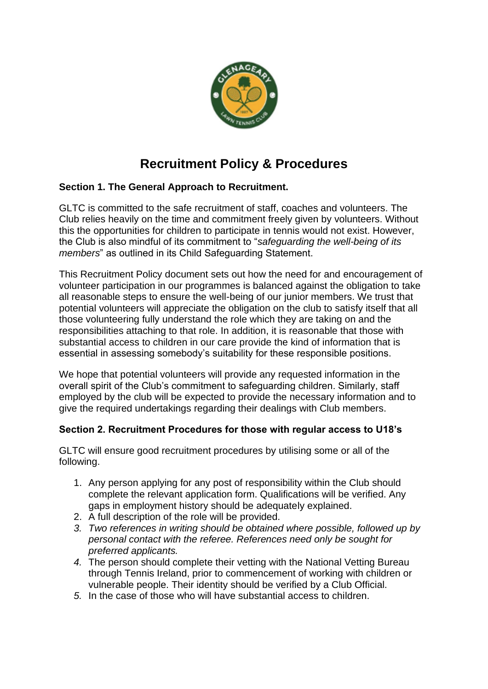

# **Recruitment Policy & Procedures**

### **Section 1. The General Approach to Recruitment.**

GLTC is committed to the safe recruitment of staff, coaches and volunteers. The Club relies heavily on the time and commitment freely given by volunteers. Without this the opportunities for children to participate in tennis would not exist. However, the Club is also mindful of its commitment to "*safeguarding the well-being of its members*" as outlined in its Child Safeguarding Statement.

This Recruitment Policy document sets out how the need for and encouragement of volunteer participation in our programmes is balanced against the obligation to take all reasonable steps to ensure the well-being of our junior members. We trust that potential volunteers will appreciate the obligation on the club to satisfy itself that all those volunteering fully understand the role which they are taking on and the responsibilities attaching to that role. In addition, it is reasonable that those with substantial access to children in our care provide the kind of information that is essential in assessing somebody's suitability for these responsible positions.

We hope that potential volunteers will provide any requested information in the overall spirit of the Club's commitment to safeguarding children. Similarly, staff employed by the club will be expected to provide the necessary information and to give the required undertakings regarding their dealings with Club members.

### **Section 2. Recruitment Procedures for those with regular access to U18's**

GLTC will ensure good recruitment procedures by utilising some or all of the following.

- 1. Any person applying for any post of responsibility within the Club should complete the relevant application form. Qualifications will be verified. Any gaps in employment history should be adequately explained.
- 2. A full description of the role will be provided.
- *3. Two references in writing should be obtained where possible, followed up by personal contact with the referee. References need only be sought for preferred applicants.*
- *4.* The person should complete their vetting with the National Vetting Bureau through Tennis Ireland, prior to commencement of working with children or vulnerable people. Their identity should be verified by a Club Official.
- *5.* In the case of those who will have substantial access to children.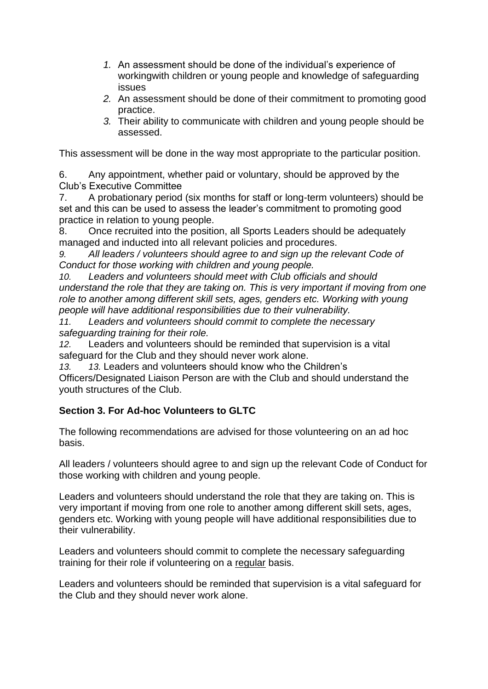- *1.* An assessment should be done of the individual's experience of workingwith children or young people and knowledge of safeguarding issues
- *2.* An assessment should be done of their commitment to promoting good practice.
- *3.* Their ability to communicate with children and young people should be assessed.

This assessment will be done in the way most appropriate to the particular position.

6. Any appointment, whether paid or voluntary, should be approved by the Club's Executive Committee

7. A probationary period (six months for staff or long-term volunteers) should be set and this can be used to assess the leader's commitment to promoting good practice in relation to young people.

8. Once recruited into the position, all Sports Leaders should be adequately managed and inducted into all relevant policies and procedures.

*9. All leaders / volunteers should agree to and sign up the relevant Code of Conduct for those working with children and young people.*

*10. Leaders and volunteers should meet with Club officials and should understand the role that they are taking on. This is very important if moving from one role to another among different skill sets, ages, genders etc. Working with young people will have additional responsibilities due to their vulnerability.*

*11. Leaders and volunteers should commit to complete the necessary safeguarding training for their role.*

*12.* Leaders and volunteers should be reminded that supervision is a vital safeguard for the Club and they should never work alone.

*13. 13.* Leaders and volunteers should know who the Children's Officers/Designated Liaison Person are with the Club and should understand the youth structures of the Club.

## **Section 3. For Ad-hoc Volunteers to GLTC**

The following recommendations are advised for those volunteering on an ad hoc basis.

All leaders / volunteers should agree to and sign up the relevant Code of Conduct for those working with children and young people.

Leaders and volunteers should understand the role that they are taking on. This is very important if moving from one role to another among different skill sets, ages, genders etc. Working with young people will have additional responsibilities due to their vulnerability.

Leaders and volunteers should commit to complete the necessary safeguarding training for their role if volunteering on a regular basis.

Leaders and volunteers should be reminded that supervision is a vital safeguard for the Club and they should never work alone.